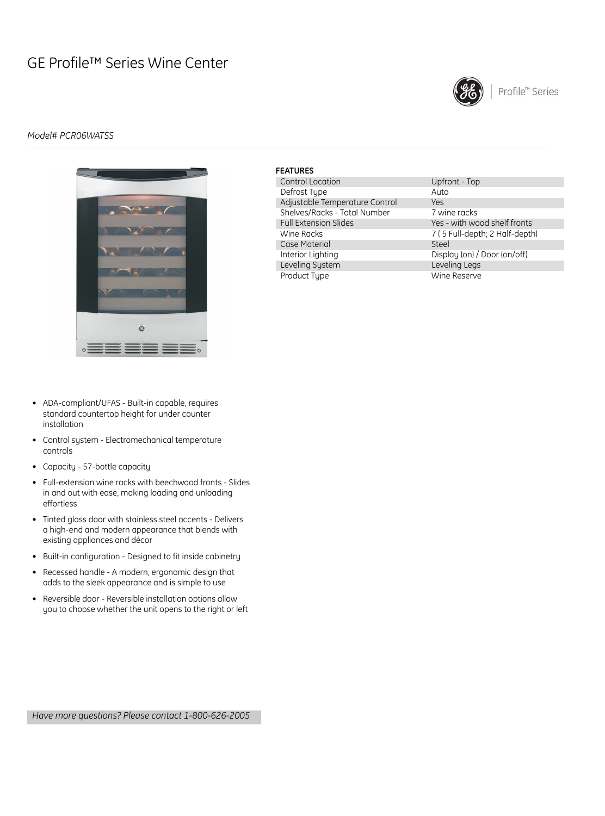# GE Profile™ Series Wine Center



### *Model# PCR06WATSS*



| <b>FEATURES</b>                |                                |
|--------------------------------|--------------------------------|
| Control Location               | Upfront - Top                  |
| Defrost Type                   | Auto                           |
| Adjustable Temperature Control | <b>Yes</b>                     |
| Shelves/Racks - Total Number   | 7 wine racks                   |
| <b>Full Extension Slides</b>   | Yes - with wood shelf fronts   |
| Wine Racks                     | 7 (5 Full-depth; 2 Half-depth) |
| Case Material                  | Steel                          |
| Interior Lighting              | Display (on) / Door (on/off)   |
| Leveling System                | Leveling Legs                  |
| Product Type                   | Wine Reserve                   |

- ADA-compliant/UFAS Built-in capable, requires standard countertop height for under counter installation
- Control system Electromechanical temperature controls
- Capacity 57-bottle capacity
- Full-extension wine racks with beechwood fronts Slides in and out with ease, making loading and unloading effortless
- Tinted glass door with stainless steel accents Delivers a high-end and modern appearance that blends with existing appliances and décor
- Built-in configuration Designed to fit inside cabinetry
- Recessed handle A modern, ergonomic design that adds to the sleek appearance and is simple to use
- Reversible door Reversible installation options allow you to choose whether the unit opens to the right or left

*Have more questions? Please contact 1-800-626-2005*